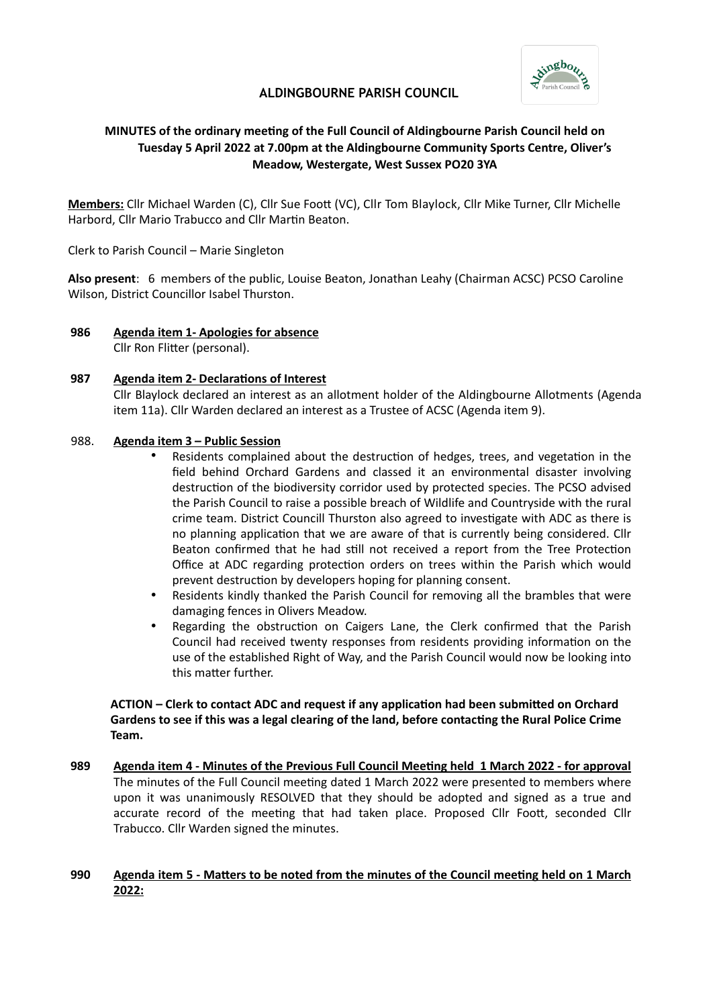

# **ALDINGBOURNE PARISH COUNCIL**

# **MINUTES of the ordinary meeting of the Full Council of Aldingbourne Parish Council held on Tuesday 5 April 2022 at 7.00pm at the Aldingbourne Community Sports Centre, Oliver's Meadow, Westergate, West Sussex PO20 3YA**

**Members:** Cllr Michael Warden (C), Cllr Sue Foot (VC), Cllr Tom Blaylock, Cllr Mike Turner, Cllr Michelle Harbord, Cllr Mario Trabucco and Cllr Martin Beaton.

Clerk to Parish Council – Marie Singleton

**Also present**: 6 members of the public, Louise Beaton, Jonathan Leahy (Chairman ACSC) PCSO Caroline Wilson, District Councillor Isabel Thurston.

**986 Agenda item 1- Apologies for absence** Cllr Ron Flitter (personal).

### **987 Agenda item 2- Declarations of Interest**

Cllr Blaylock declared an interest as an allotment holder of the Aldingbourne Allotments (Agenda item 11a). Cllr Warden declared an interest as a Trustee of ACSC (Agenda item 9).

## 988. **Agenda item 3 – Public Session**

- Residents complained about the destruction of hedges, trees, and vegetation in the field behind Orchard Gardens and classed it an environmental disaster involving destruction of the biodiversity corridor used by protected species. The PCSO advised the Parish Council to raise a possible breach of Wildlife and Countryside with the rural crime team. District Councill Thurston also agreed to investigate with ADC as there is no planning application that we are aware of that is currently being considered. Cllr Beaton confirmed that he had still not received a report from the Tree Protection Office at ADC regarding protection orders on trees within the Parish which would prevent destruction by developers hoping for planning consent.
- Residents kindly thanked the Parish Council for removing all the brambles that were damaging fences in Olivers Meadow.
- Regarding the obstruction on Caigers Lane, the Clerk confirmed that the Parish Council had received twenty responses from residents providing information on the use of the established Right of Way, and the Parish Council would now be looking into this matter further.

## **ACTION – Clerk to contact ADC and request if any application had been submitted on Orchard Gardens to see if this was a legal clearing of the land, before contacting the Rural Police Crime Team.**

**989 Agenda item 4 - Minutes of the Previous Full Council Meeting held 1 March 2022 - for approval** The minutes of the Full Council meeting dated 1 March 2022 were presented to members where upon it was unanimously RESOLVED that they should be adopted and signed as a true and accurate record of the meeting that had taken place. Proposed Cllr Foott, seconded Cllr Trabucco. Cllr Warden signed the minutes.

## **990 Agenda item 5 - Matters to be noted from the minutes of the Council meeting held on 1 March 2022:**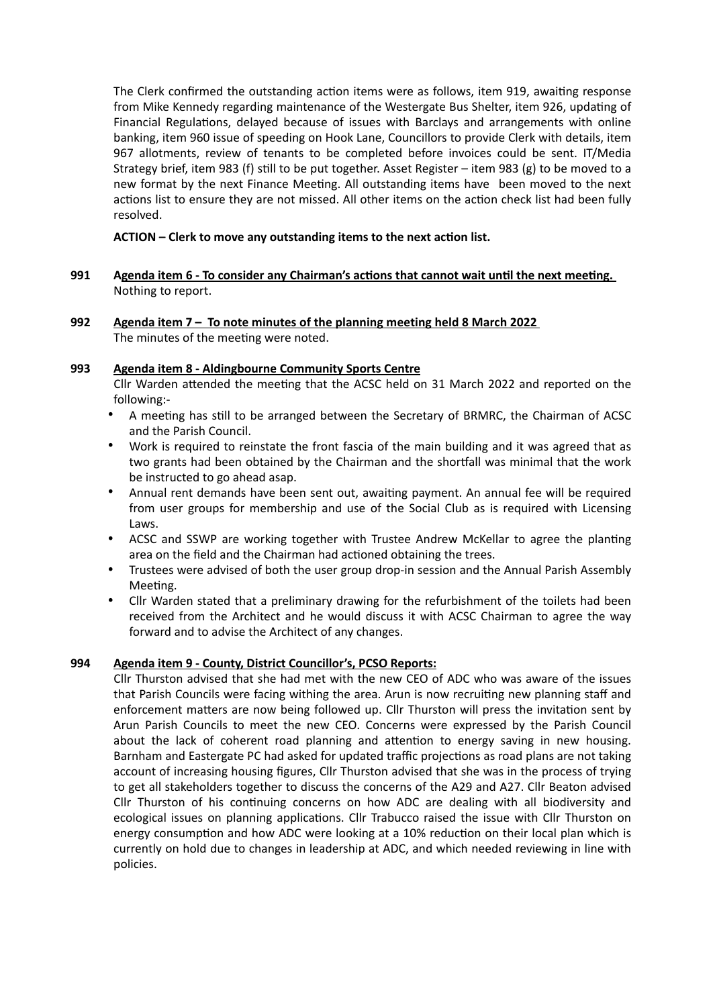The Clerk confirmed the outstanding action items were as follows, item 919, awaiting response from Mike Kennedy regarding maintenance of the Westergate Bus Shelter, item 926, updating of Financial Regulations, delayed because of issues with Barclays and arrangements with online banking, item 960 issue of speeding on Hook Lane, Councillors to provide Clerk with details, item 967 allotments, review of tenants to be completed before invoices could be sent. IT/Media Strategy brief, item 983 (f) still to be put together. Asset Register – item 983 (g) to be moved to a new format by the next Finance Meeting. All outstanding items have been moved to the next actions list to ensure they are not missed. All other items on the action check list had been fully resolved.

# **ACTION – Clerk to move any outstanding items to the next action list.**

- **991 Agenda item 6 To consider any Chairman's actions that cannot wait until the next meeting.** Nothing to report.
- **992 Agenda item 7 To note minutes of the planning meeting held 8 March 2022** The minutes of the meeting were noted.

## **993 Agenda item 8 - Aldingbourne Community Sports Centre**

Cllr Warden attended the meeting that the ACSC held on 31 March 2022 and reported on the following:-

- A meeting has still to be arranged between the Secretary of BRMRC, the Chairman of ACSC and the Parish Council.
- Work is required to reinstate the front fascia of the main building and it was agreed that as two grants had been obtained by the Chairman and the shortfall was minimal that the work be instructed to go ahead asap.
- Annual rent demands have been sent out, awaiting payment. An annual fee will be required from user groups for membership and use of the Social Club as is required with Licensing Laws.
- ACSC and SSWP are working together with Trustee Andrew McKellar to agree the planting area on the field and the Chairman had actioned obtaining the trees.
- Trustees were advised of both the user group drop-in session and the Annual Parish Assembly Meeting.
- Cllr Warden stated that a preliminary drawing for the refurbishment of the toilets had been received from the Architect and he would discuss it with ACSC Chairman to agree the way forward and to advise the Architect of any changes.

# **994 Agenda item 9 - County, District Councillor's, PCSO Reports:**

Cllr Thurston advised that she had met with the new CEO of ADC who was aware of the issues that Parish Councils were facing withing the area. Arun is now recruiting new planning staff and enforcement matters are now being followed up. Cllr Thurston will press the invitation sent by Arun Parish Councils to meet the new CEO. Concerns were expressed by the Parish Council about the lack of coherent road planning and attention to energy saving in new housing. Barnham and Eastergate PC had asked for updated traffic projections as road plans are not taking account of increasing housing figures, Cllr Thurston advised that she was in the process of trying to get all stakeholders together to discuss the concerns of the A29 and A27. Cllr Beaton advised Cllr Thurston of his continuing concerns on how ADC are dealing with all biodiversity and ecological issues on planning applications. Cllr Trabucco raised the issue with Cllr Thurston on energy consumption and how ADC were looking at a 10% reduction on their local plan which is currently on hold due to changes in leadership at ADC, and which needed reviewing in line with policies.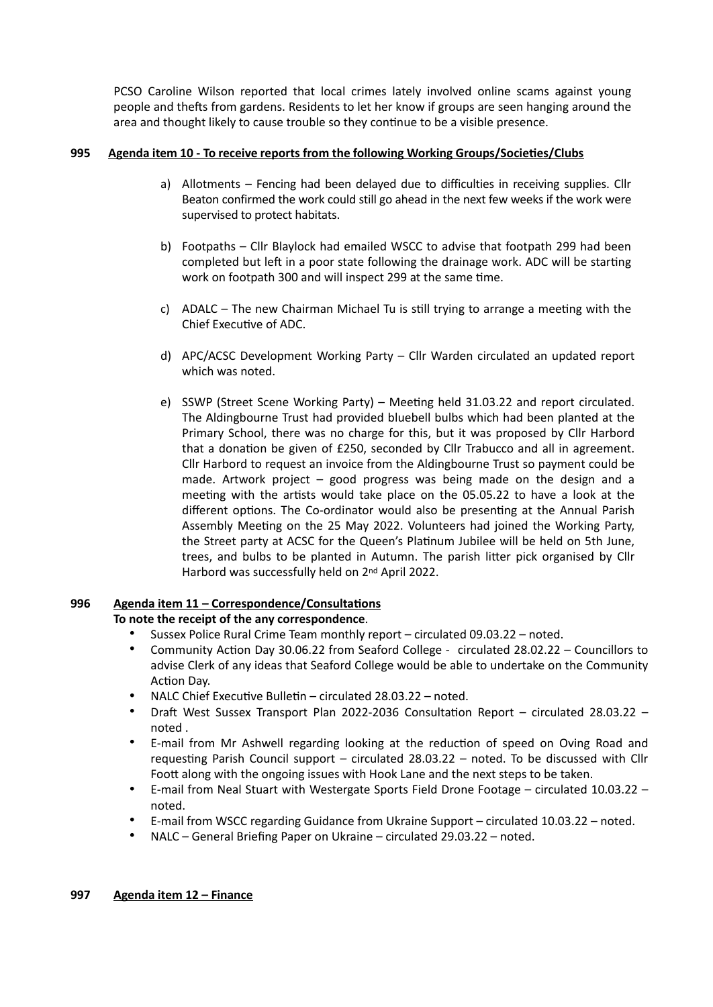PCSO Caroline Wilson reported that local crimes lately involved online scams against young people and thefts from gardens. Residents to let her know if groups are seen hanging around the area and thought likely to cause trouble so they continue to be a visible presence.

# **995 Agenda item 10 - To receive reports from the following Working Groups/Societies/Clubs**

- a) Allotments Fencing had been delayed due to difficulties in receiving supplies. Cllr Beaton confirmed the work could still go ahead in the next few weeks if the work were supervised to protect habitats.
- b) Footpaths Cllr Blaylock had emailed WSCC to advise that footpath 299 had been completed but left in a poor state following the drainage work. ADC will be starting work on footpath 300 and will inspect 299 at the same time.
- c) ADALC The new Chairman Michael Tu is still trying to arrange a meeting with the Chief Executive of ADC.
- d) APC/ACSC Development Working Party Cllr Warden circulated an updated report which was noted.
- e) SSWP (Street Scene Working Party) Meeting held 31.03.22 and report circulated. The Aldingbourne Trust had provided bluebell bulbs which had been planted at the Primary School, there was no charge for this, but it was proposed by Cllr Harbord that a donation be given of £250, seconded by Cllr Trabucco and all in agreement. Cllr Harbord to request an invoice from the Aldingbourne Trust so payment could be made. Artwork project – good progress was being made on the design and a meeting with the artists would take place on the 05.05.22 to have a look at the different options. The Co-ordinator would also be presenting at the Annual Parish Assembly Meeting on the 25 May 2022. Volunteers had joined the Working Party, the Street party at ACSC for the Queen's Platinum Jubilee will be held on 5th June, trees, and bulbs to be planted in Autumn. The parish litter pick organised by Cllr Harbord was successfully held on 2nd April 2022.

#### **996 Agenda item 11 – Correspondence/Consultations To note the receipt of the any correspondence**.

- Sussex Police Rural Crime Team monthly report circulated 09.03.22 noted.
- Community Action Day 30.06.22 from Seaford College circulated 28.02.22 Councillors to advise Clerk of any ideas that Seaford College would be able to undertake on the Community Action Day.
- NALC Chief Executive Bulletin circulated 28.03.22 noted.
- Draft West Sussex Transport Plan 2022-2036 Consultation Report circulated 28.03.22 noted .
- E-mail from Mr Ashwell regarding looking at the reduction of speed on Oving Road and requesting Parish Council support – circulated 28.03.22 – noted. To be discussed with Cllr Foott along with the ongoing issues with Hook Lane and the next steps to be taken.
- E-mail from Neal Stuart with Westergate Sports Field Drone Footage circulated 10.03.22 noted.
- E-mail from WSCC regarding Guidance from Ukraine Support circulated 10.03.22 noted.
- NALC General Briefing Paper on Ukraine circulated 29.03.22 noted.